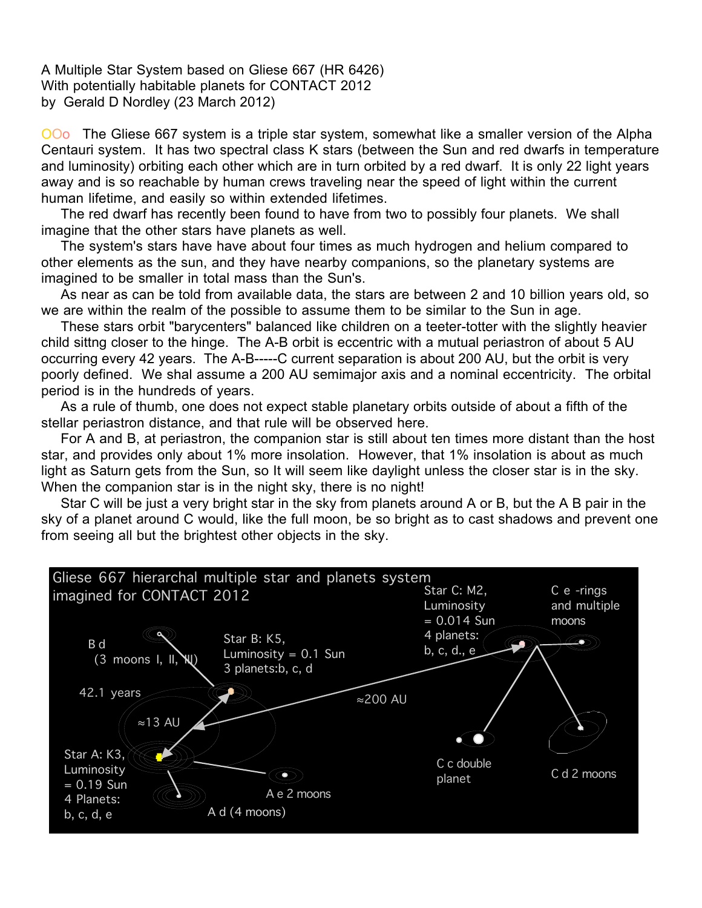A Multiple Star System based on Gliese 667 (HR 6426) With potentially habitable planets for CONTACT 2012 by Gerald D Nordley (23 March 2012)

OOo The Gliese 667 system is a triple star system, somewhat like a smaller version of the Alpha Centauri system. It has two spectral class K stars (between the Sun and red dwarfs in temperature and luminosity) orbiting each other which are in turn orbited by a red dwarf. It is only 22 light years away and is so reachable by human crews traveling near the speed of light within the current human lifetime, and easily so within extended lifetimes.

The red dwarf has recently been found to have from two to possibly four planets. We shall imagine that the other stars have planets as well.

The system's stars have have about four times as much hydrogen and helium compared to other elements as the sun, and they have nearby companions, so the planetary systems are imagined to be smaller in total mass than the Sun's.

As near as can be told from available data, the stars are between 2 and 10 billion years old, so we are within the realm of the possible to assume them to be similar to the Sun in age.

These stars orbit "barycenters" balanced like children on a teeter-totter with the slightly heavier child sittng closer to the hinge. The A-B orbit is eccentric with a mutual periastron of about 5 AU occurring every 42 years. The A-B-----C current separation is about 200 AU, but the orbit is very poorly defined. We shal assume a 200 AU semimajor axis and a nominal eccentricity. The orbital period is in the hundreds of years.

As a rule of thumb, one does not expect stable planetary orbits outside of about a fifth of the stellar periastron distance, and that rule will be observed here.

For A and B, at periastron, the companion star is still about ten times more distant than the host star, and provides only about 1% more insolation. However, that 1% insolation is about as much light as Saturn gets from the Sun, so It will seem like daylight unless the closer star is in the sky. When the companion star is in the night sky, there is no night!

Star C will be just a very bright star in the sky from planets around A or B, but the A B pair in the sky of a planet around C would, like the full moon, be so bright as to cast shadows and prevent one from seeing all but the brightest other objects in the sky.

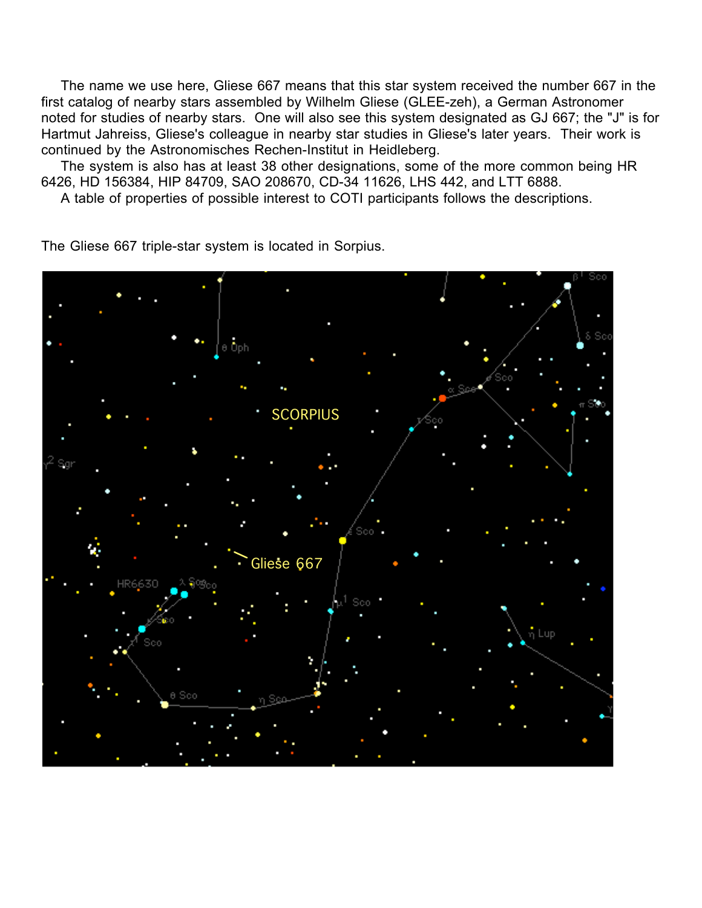The name we use here, Gliese 667 means that this star system received the number 667 in the first catalog of nearby stars assembled by Wilhelm Gliese (GLEE-zeh), a German Astronomer noted for studies of nearby stars. One will also see this system designated as GJ 667; the "J" is for Hartmut Jahreiss, Gliese's colleague in nearby star studies in Gliese's later years. Their work is continued by the Astronomisches Rechen-Institut in Heidleberg.

The system is also has at least 38 other designations, some of the more common being HR 6426, HD 156384, HIP 84709, SAO 208670, CD-34 11626, LHS 442, and LTT 6888.

A table of properties of possible interest to COTI participants follows the descriptions.

Gliese 667 **SCORPIUS** 

The Gliese 667 triple-star system is located in Sorpius.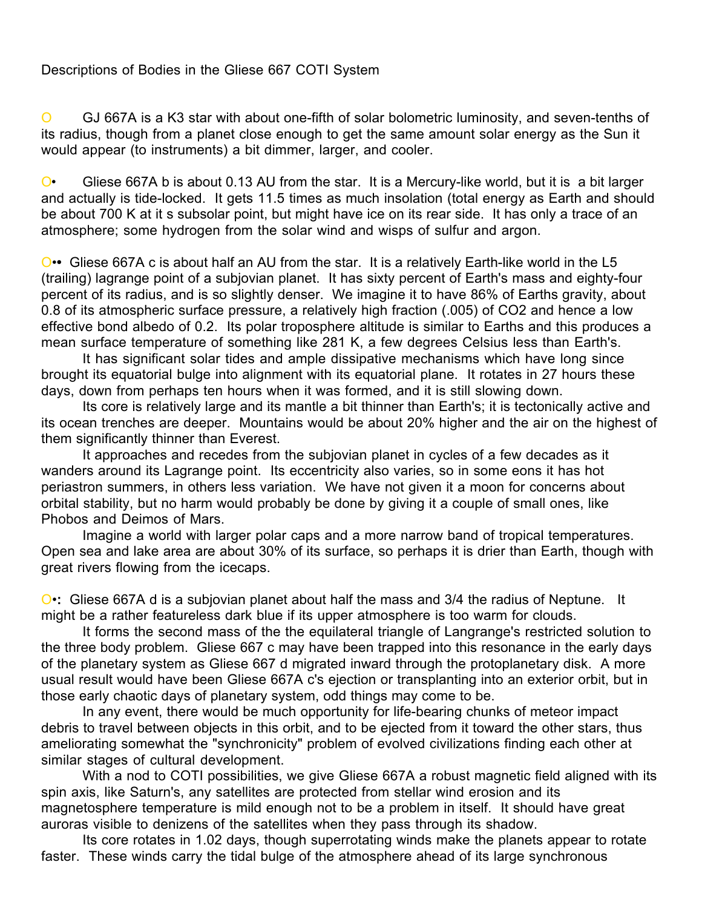## Descriptions of Bodies in the Gliese 667 COTI System

O GJ 667A is a K3 star with about one-fifth of solar bolometric luminosity, and seven-tenths of its radius, though from a planet close enough to get the same amount solar energy as the Sun it would appear (to instruments) a bit dimmer, larger, and cooler.

O• Gliese 667A b is about 0.13 AU from the star. It is a Mercury-like world, but it is a bit larger and actually is tide-locked. It gets 11.5 times as much insolation (total energy as Earth and should be about 700 K at it s subsolar point, but might have ice on its rear side. It has only a trace of an atmosphere; some hydrogen from the solar wind and wisps of sulfur and argon.

O•**•** Gliese 667A c is about half an AU from the star. It is a relatively Earth-like world in the L5 (trailing) lagrange point of a subjovian planet. It has sixty percent of Earth's mass and eighty-four percent of its radius, and is so slightly denser. We imagine it to have 86% of Earths gravity, about 0.8 of its atmospheric surface pressure, a relatively high fraction (.005) of CO2 and hence a low effective bond albedo of 0.2. Its polar troposphere altitude is similar to Earths and this produces a mean surface temperature of something like 281 K, a few degrees Celsius less than Earth's.

It has significant solar tides and ample dissipative mechanisms which have long since brought its equatorial bulge into alignment with its equatorial plane. It rotates in 27 hours these days, down from perhaps ten hours when it was formed, and it is still slowing down.

Its core is relatively large and its mantle a bit thinner than Earth's; it is tectonically active and its ocean trenches are deeper. Mountains would be about 20% higher and the air on the highest of them significantly thinner than Everest.

It approaches and recedes from the subjovian planet in cycles of a few decades as it wanders around its Lagrange point. Its eccentricity also varies, so in some eons it has hot periastron summers, in others less variation. We have not given it a moon for concerns about orbital stability, but no harm would probably be done by giving it a couple of small ones, like Phobos and Deimos of Mars.

Imagine a world with larger polar caps and a more narrow band of tropical temperatures. Open sea and lake area are about 30% of its surface, so perhaps it is drier than Earth, though with great rivers flowing from the icecaps.

O•**:** Gliese 667A d is a subjovian planet about half the mass and 3/4 the radius of Neptune. It might be a rather featureless dark blue if its upper atmosphere is too warm for clouds.

It forms the second mass of the the equilateral triangle of Langrange's restricted solution to the three body problem. Gliese 667 c may have been trapped into this resonance in the early days of the planetary system as Gliese 667 d migrated inward through the protoplanetary disk. A more usual result would have been Gliese 667A c's ejection or transplanting into an exterior orbit, but in those early chaotic days of planetary system, odd things may come to be.

In any event, there would be much opportunity for life-bearing chunks of meteor impact debris to travel between objects in this orbit, and to be ejected from it toward the other stars, thus ameliorating somewhat the "synchronicity" problem of evolved civilizations finding each other at similar stages of cultural development.

With a nod to COTI possibilities, we give Gliese 667A a robust magnetic field aligned with its spin axis, like Saturn's, any satellites are protected from stellar wind erosion and its magnetosphere temperature is mild enough not to be a problem in itself. It should have great auroras visible to denizens of the satellites when they pass through its shadow.

Its core rotates in 1.02 days, though superrotating winds make the planets appear to rotate faster. These winds carry the tidal bulge of the atmosphere ahead of its large synchronous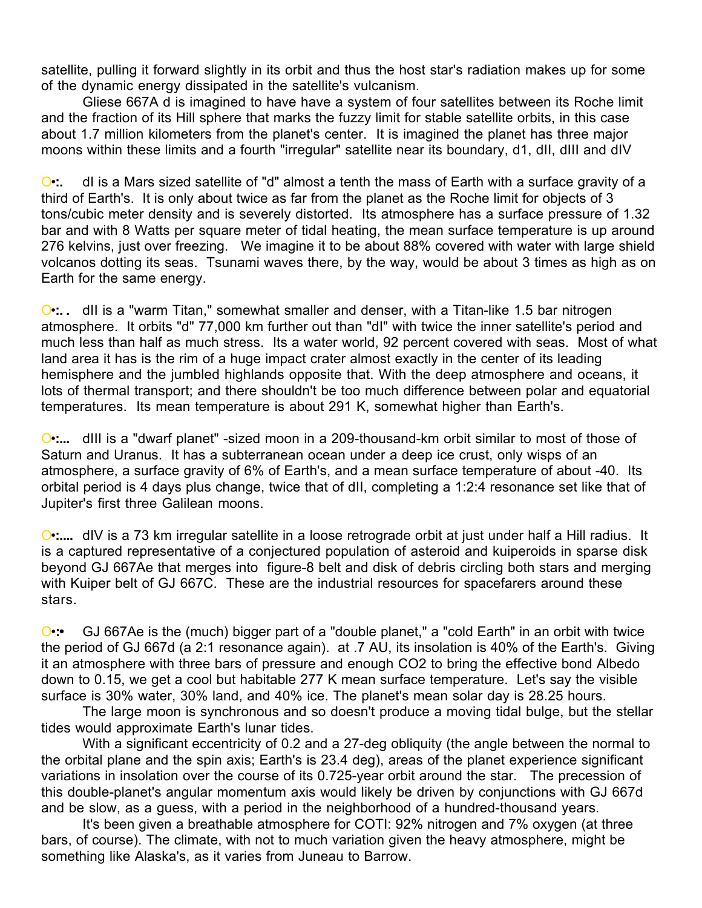satellite, pulling it forward slightly in its orbit and thus the host star's radiation makes up for some of the dynamic energy dissipated in the satellite's vulcanism.

Gliese 667A d is imagined to have have a system of four satellites between its Roche limit and the fraction of its Hill sphere that marks the fuzzy limit for stable satellite orbits, in this case about 1.7 million kilometers from the planet's center. It is imagined the planet has three major moons within these limits and a fourth "irregular" satellite near its boundary, d1, dll, dlll and dIV

O•**:.** dI is a Mars sized satellite of "d" almost a tenth the mass of Earth with a surface gravity of a third of Earth's. It is only about twice as far from the planet as the Roche limit for objects of 3 tons/cubic meter density and is severely distorted. Its atmosphere has a surface pressure of 1.32 bar and with 8 Watts per square meter of tidal heating, the mean surface temperature is up around 276 kelvins, just over freezing. We imagine it to be about 88% covered with water with large shield volcanos dotting its seas. Tsunami waves there, by the way, would be about 3 times as high as on Earth for the same energy.

O•**:. .** dII is a "warm Titan," somewhat smaller and denser, with a Titan-like 1.5 bar nitrogen atmosphere. It orbits "d" 77,000 km further out than "dI" with twice the inner satellite's period and much less than half as much stress. Its a water world, 92 percent covered with seas. Most of what land area it has is the rim of a huge impact crater almost exactly in the center of its leading hemisphere and the jumbled highlands opposite that. With the deep atmosphere and oceans, it lots of thermal transport; and there shouldn't be too much difference between polar and equatorial temperatures. Its mean temperature is about 291 K, somewhat higher than Earth's.

O•**:...** dIII is a "dwarf planet" -sized moon in a 209-thousand-km orbit similar to most of those of Saturn and Uranus. It has a subterranean ocean under a deep ice crust, only wisps of an atmosphere, a surface gravity of 6% of Earth's, and a mean surface temperature of about -40. Its orbital period is 4 days plus change, twice that of dII, completing a 1:2:4 resonance set like that of Jupiter's first three Galilean moons.

O•**:....** dIV is a 73 km irregular satellite in a loose retrograde orbit at just under half a Hill radius. It is a captured representative of a conjectured population of asteroid and kuiperoids in sparse disk beyond GJ 667Ae that merges into figure-8 belt and disk of debris circling both stars and merging with Kuiper belt of GJ 667C. These are the industrial resources for spacefarers around these stars.

O•**:•** GJ 667Ae is the (much) bigger part of a "double planet," a "cold Earth" in an orbit with twice the period of GJ 667d (a 2:1 resonance again). at .7 AU, its insolation is 40% of the Earth's. Giving it an atmosphere with three bars of pressure and enough CO2 to bring the effective bond Albedo down to 0.15, we get a cool but habitable 277 K mean surface temperature. Let's say the visible surface is 30% water, 30% land, and 40% ice. The planet's mean solar day is 28.25 hours.

The large moon is synchronous and so doesn't produce a moving tidal bulge, but the stellar tides would approximate Earth's lunar tides.

With a significant eccentricity of 0.2 and a 27-deg obliquity (the angle between the normal to the orbital plane and the spin axis; Earth's is 23.4 deg), areas of the planet experience significant variations in insolation over the course of its 0.725-year orbit around the star. The precession of this double-planet's angular momentum axis would likely be driven by conjunctions with GJ 667d and be slow, as a guess, with a period in the neighborhood of a hundred-thousand years.

It's been given a breathable atmosphere for COTI: 92% nitrogen and 7% oxygen (at three bars, of course). The climate, with not to much variation given the heavy atmosphere, might be something like Alaska's, as it varies from Juneau to Barrow.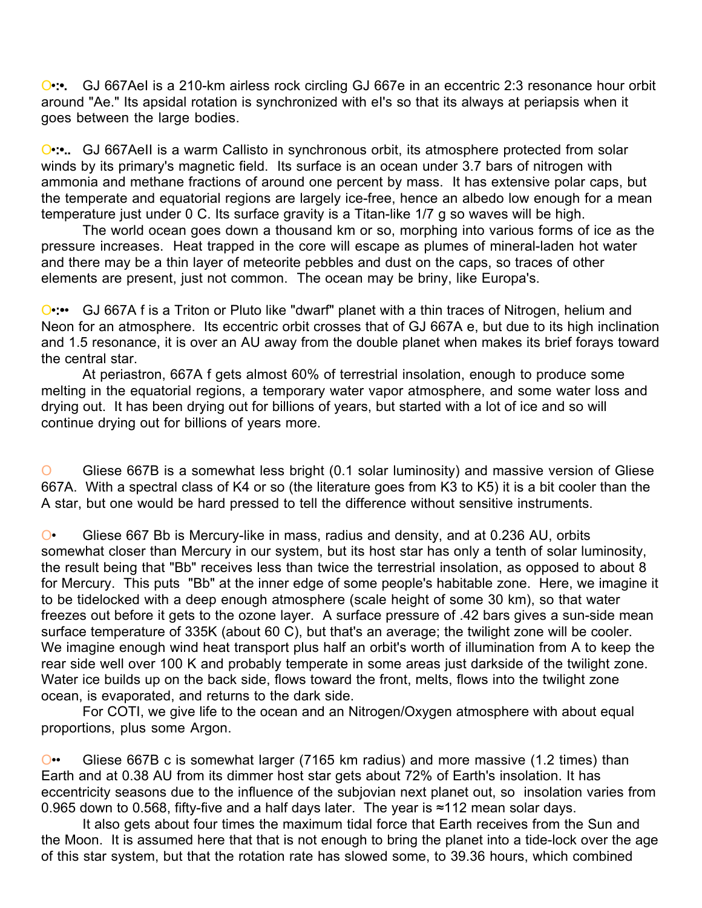O.<sup>•</sup> GJ 667Ael is a 210-km airless rock circling GJ 667e in an eccentric 2:3 resonance hour orbit around "Ae." Its apsidal rotation is synchronized with eI's so that its always at periapsis when it goes between the large bodies.

O.<sup>•</sup>:•... GJ 667AeII is a warm Callisto in synchronous orbit, its atmosphere protected from solar winds by its primary's magnetic field. Its surface is an ocean under 3.7 bars of nitrogen with ammonia and methane fractions of around one percent by mass. It has extensive polar caps, but the temperate and equatorial regions are largely ice-free, hence an albedo low enough for a mean temperature just under 0 C. Its surface gravity is a Titan-like 1/7 g so waves will be high.

The world ocean goes down a thousand km or so, morphing into various forms of ice as the pressure increases. Heat trapped in the core will escape as plumes of mineral-laden hot water and there may be a thin layer of meteorite pebbles and dust on the caps, so traces of other elements are present, just not common. The ocean may be briny, like Europa's.

O•**:•**• GJ 667A f is a Triton or Pluto like "dwarf" planet with a thin traces of Nitrogen, helium and Neon for an atmosphere. Its eccentric orbit crosses that of GJ 667A e, but due to its high inclination and 1.5 resonance, it is over an AU away from the double planet when makes its brief forays toward the central star.

At periastron, 667A f gets almost 60% of terrestrial insolation, enough to produce some melting in the equatorial regions, a temporary water vapor atmosphere, and some water loss and drying out. It has been drying out for billions of years, but started with a lot of ice and so will continue drying out for billions of years more.

O Gliese 667B is a somewhat less bright (0.1 solar luminosity) and massive version of Gliese 667A. With a spectral class of K4 or so (the literature goes from K3 to K5) it is a bit cooler than the A star, but one would be hard pressed to tell the difference without sensitive instruments.

O• Gliese 667 Bb is Mercury-like in mass, radius and density, and at 0.236 AU, orbits somewhat closer than Mercury in our system, but its host star has only a tenth of solar luminosity, the result being that "Bb" receives less than twice the terrestrial insolation, as opposed to about 8 for Mercury. This puts "Bb" at the inner edge of some people's habitable zone. Here, we imagine it to be tidelocked with a deep enough atmosphere (scale height of some 30 km), so that water freezes out before it gets to the ozone layer. A surface pressure of .42 bars gives a sun-side mean surface temperature of 335K (about 60 C), but that's an average; the twilight zone will be cooler. We imagine enough wind heat transport plus half an orbit's worth of illumination from A to keep the rear side well over 100 K and probably temperate in some areas just darkside of the twilight zone. Water ice builds up on the back side, flows toward the front, melts, flows into the twilight zone ocean, is evaporated, and returns to the dark side.

For COTI, we give life to the ocean and an Nitrogen/Oxygen atmosphere with about equal proportions, plus some Argon.

O•• Gliese 667B c is somewhat larger (7165 km radius) and more massive (1.2 times) than Earth and at 0.38 AU from its dimmer host star gets about 72% of Earth's insolation. It has eccentricity seasons due to the influence of the subjovian next planet out, so insolation varies from 0.965 down to 0.568, fifty-five and a half days later. The year is ≈112 mean solar days.

It also gets about four times the maximum tidal force that Earth receives from the Sun and the Moon. It is assumed here that that is not enough to bring the planet into a tide-lock over the age of this star system, but that the rotation rate has slowed some, to 39.36 hours, which combined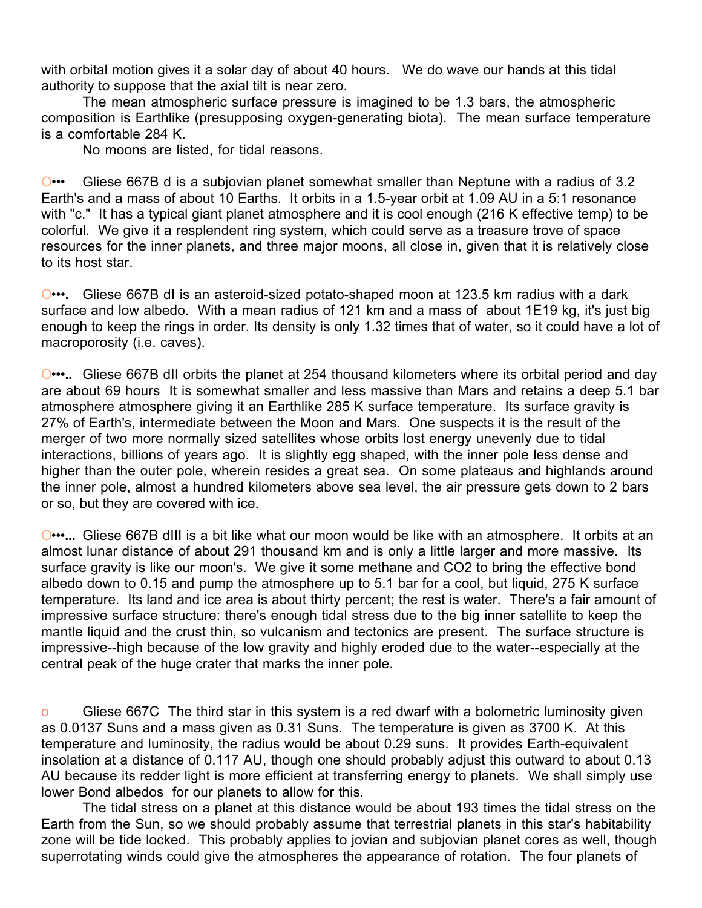with orbital motion gives it a solar day of about 40 hours. We do wave our hands at this tidal authority to suppose that the axial tilt is near zero.

The mean atmospheric surface pressure is imagined to be 1.3 bars, the atmospheric composition is Earthlike (presupposing oxygen-generating biota). The mean surface temperature is a comfortable 284 K.

No moons are listed, for tidal reasons.

O••• Gliese 667B d is a subjovian planet somewhat smaller than Neptune with a radius of 3.2 Earth's and a mass of about 10 Earths. It orbits in a 1.5-year orbit at 1.09 AU in a 5:1 resonance with "c." It has a typical giant planet atmosphere and it is cool enough (216 K effective temp) to be colorful. We give it a resplendent ring system, which could serve as a treasure trove of space resources for the inner planets, and three major moons, all close in, given that it is relatively close to its host star.

O•••**.** Gliese 667B dI is an asteroid-sized potato-shaped moon at 123.5 km radius with a dark surface and low albedo. With a mean radius of 121 km and a mass of about 1E19 kg, it's just big enough to keep the rings in order. Its density is only 1.32 times that of water, so it could have a lot of macroporosity (i.e. caves).

O•••**..** Gliese 667B dII orbits the planet at 254 thousand kilometers where its orbital period and day are about 69 hours It is somewhat smaller and less massive than Mars and retains a deep 5.1 bar atmosphere atmosphere giving it an Earthlike 285 K surface temperature. Its surface gravity is 27% of Earth's, intermediate between the Moon and Mars. One suspects it is the result of the merger of two more normally sized satellites whose orbits lost energy unevenly due to tidal interactions, billions of years ago. It is slightly egg shaped, with the inner pole less dense and higher than the outer pole, wherein resides a great sea. On some plateaus and highlands around the inner pole, almost a hundred kilometers above sea level, the air pressure gets down to 2 bars or so, but they are covered with ice.

O•••**...** Gliese 667B dIII is a bit like what our moon would be like with an atmosphere. It orbits at an almost lunar distance of about 291 thousand km and is only a little larger and more massive. Its surface gravity is like our moon's. We give it some methane and CO2 to bring the effective bond albedo down to 0.15 and pump the atmosphere up to 5.1 bar for a cool, but liquid, 275 K surface temperature. Its land and ice area is about thirty percent; the rest is water. There's a fair amount of impressive surface structure: there's enough tidal stress due to the big inner satellite to keep the mantle liquid and the crust thin, so vulcanism and tectonics are present. The surface structure is impressive--high because of the low gravity and highly eroded due to the water--especially at the central peak of the huge crater that marks the inner pole.

o Gliese 667C The third star in this system is a red dwarf with a bolometric luminosity given as 0.0137 Suns and a mass given as 0.31 Suns. The temperature is given as 3700 K. At this temperature and luminosity, the radius would be about 0.29 suns. It provides Earth-equivalent insolation at a distance of 0.117 AU, though one should probably adjust this outward to about 0.13 AU because its redder light is more efficient at transferring energy to planets. We shall simply use lower Bond albedos for our planets to allow for this.

The tidal stress on a planet at this distance would be about 193 times the tidal stress on the Earth from the Sun, so we should probably assume that terrestrial planets in this star's habitability zone will be tide locked. This probably applies to jovian and subjovian planet cores as well, though superrotating winds could give the atmospheres the appearance of rotation. The four planets of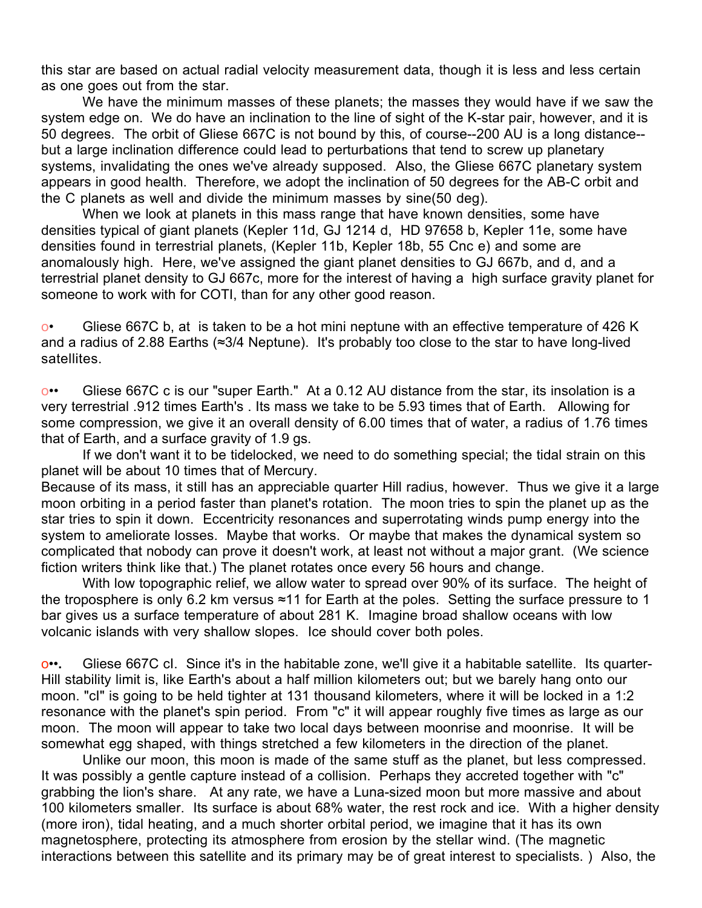this star are based on actual radial velocity measurement data, though it is less and less certain as one goes out from the star.

We have the minimum masses of these planets; the masses they would have if we saw the system edge on. We do have an inclination to the line of sight of the K-star pair, however, and it is 50 degrees. The orbit of Gliese 667C is not bound by this, of course--200 AU is a long distance- but a large inclination difference could lead to perturbations that tend to screw up planetary systems, invalidating the ones we've already supposed. Also, the Gliese 667C planetary system appears in good health. Therefore, we adopt the inclination of 50 degrees for the AB-C orbit and the C planets as well and divide the minimum masses by sine(50 deg).

When we look at planets in this mass range that have known densities, some have densities typical of giant planets (Kepler 11d, GJ 1214 d, HD 97658 b, Kepler 11e, some have densities found in terrestrial planets, (Kepler 11b, Kepler 18b, 55 Cnc e) and some are anomalously high. Here, we've assigned the giant planet densities to GJ 667b, and d, and a terrestrial planet density to GJ 667c, more for the interest of having a high surface gravity planet for someone to work with for COTI, than for any other good reason.

 $\circ$  Gliese 667C b, at is taken to be a hot mini neptune with an effective temperature of 426 K and a radius of 2.88 Earths (≈3/4 Neptune). It's probably too close to the star to have long-lived satellites.

o•• Gliese 667C c is our "super Earth." At a 0.12 AU distance from the star, its insolation is a very terrestrial .912 times Earth's . Its mass we take to be 5.93 times that of Earth. Allowing for some compression, we give it an overall density of 6.00 times that of water, a radius of 1.76 times that of Earth, and a surface gravity of 1.9 gs.

If we don't want it to be tidelocked, we need to do something special; the tidal strain on this planet will be about 10 times that of Mercury.

Because of its mass, it still has an appreciable quarter Hill radius, however. Thus we give it a large moon orbiting in a period faster than planet's rotation. The moon tries to spin the planet up as the star tries to spin it down. Eccentricity resonances and superrotating winds pump energy into the system to ameliorate losses. Maybe that works. Or maybe that makes the dynamical system so complicated that nobody can prove it doesn't work, at least not without a major grant. (We science fiction writers think like that.) The planet rotates once every 56 hours and change.

With low topographic relief, we allow water to spread over 90% of its surface. The height of the troposphere is only 6.2 km versus ≈11 for Earth at the poles. Setting the surface pressure to 1 bar gives us a surface temperature of about 281 K. Imagine broad shallow oceans with low volcanic islands with very shallow slopes. Ice should cover both poles.

o••**.** Gliese 667C cI. Since it's in the habitable zone, we'll give it a habitable satellite. Its quarter-Hill stability limit is, like Earth's about a half million kilometers out; but we barely hang onto our moon. "cI" is going to be held tighter at 131 thousand kilometers, where it will be locked in a 1:2 resonance with the planet's spin period. From "c" it will appear roughly five times as large as our moon. The moon will appear to take two local days between moonrise and moonrise. It will be somewhat egg shaped, with things stretched a few kilometers in the direction of the planet.

Unlike our moon, this moon is made of the same stuff as the planet, but less compressed. It was possibly a gentle capture instead of a collision. Perhaps they accreted together with "c" grabbing the lion's share. At any rate, we have a Luna-sized moon but more massive and about 100 kilometers smaller. Its surface is about 68% water, the rest rock and ice. With a higher density (more iron), tidal heating, and a much shorter orbital period, we imagine that it has its own magnetosphere, protecting its atmosphere from erosion by the stellar wind. (The magnetic interactions between this satellite and its primary may be of great interest to specialists. ) Also, the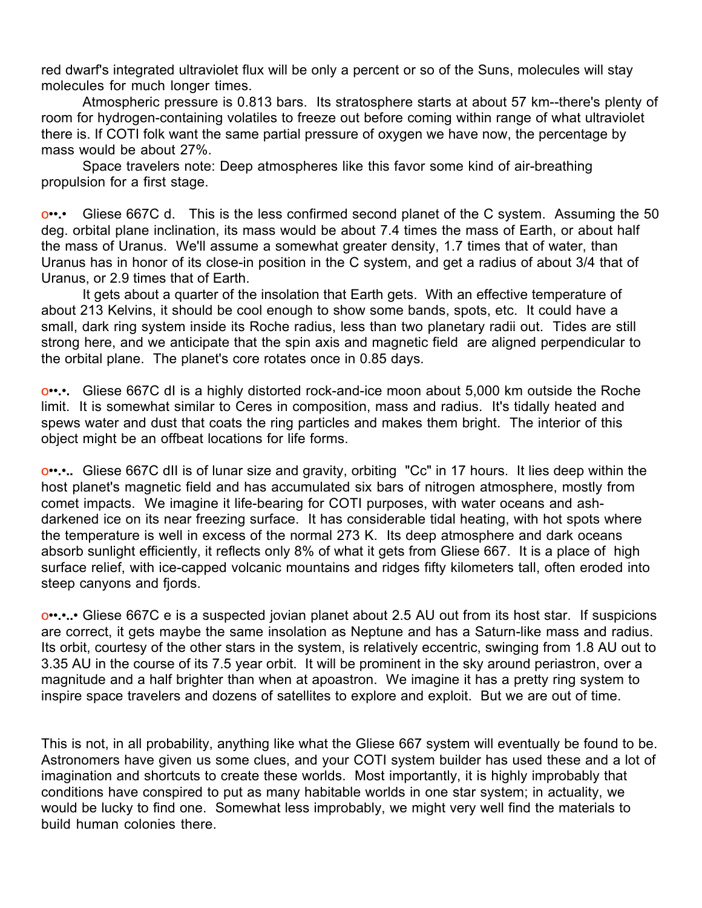red dwarf's integrated ultraviolet flux will be only a percent or so of the Suns, molecules will stay molecules for much longer times.

Atmospheric pressure is 0.813 bars. Its stratosphere starts at about 57 km--there's plenty of room for hydrogen-containing volatiles to freeze out before coming within range of what ultraviolet there is. If COTI folk want the same partial pressure of oxygen we have now, the percentage by mass would be about 27%.

Space travelers note: Deep atmospheres like this favor some kind of air-breathing propulsion for a first stage.

o••**.**• Gliese 667C d. This is the less confirmed second planet of the C system. Assuming the 50 deg. orbital plane inclination, its mass would be about 7.4 times the mass of Earth, or about half the mass of Uranus. We'll assume a somewhat greater density, 1.7 times that of water, than Uranus has in honor of its close-in position in the C system, and get a radius of about 3/4 that of Uranus, or 2.9 times that of Earth.

It gets about a quarter of the insolation that Earth gets. With an effective temperature of about 213 Kelvins, it should be cool enough to show some bands, spots, etc. It could have a small, dark ring system inside its Roche radius, less than two planetary radii out. Tides are still strong here, and we anticipate that the spin axis and magnetic field are aligned perpendicular to the orbital plane. The planet's core rotates once in 0.85 days.

o••**.**•**.** Gliese 667C dI is a highly distorted rock-and-ice moon about 5,000 km outside the Roche limit. It is somewhat similar to Ceres in composition, mass and radius. It's tidally heated and spews water and dust that coats the ring particles and makes them bright. The interior of this object might be an offbeat locations for life forms.

o••**.**•**..** Gliese 667C dII is of lunar size and gravity, orbiting "Cc" in 17 hours. It lies deep within the host planet's magnetic field and has accumulated six bars of nitrogen atmosphere, mostly from comet impacts. We imagine it life-bearing for COTI purposes, with water oceans and ashdarkened ice on its near freezing surface. It has considerable tidal heating, with hot spots where the temperature is well in excess of the normal 273 K. Its deep atmosphere and dark oceans absorb sunlight efficiently, it reflects only 8% of what it gets from Gliese 667. It is a place of high surface relief, with ice-capped volcanic mountains and ridges fifty kilometers tall, often eroded into steep canyons and fjords.

o••**.**•**..**• Gliese 667C e is a suspected jovian planet about 2.5 AU out from its host star. If suspicions are correct, it gets maybe the same insolation as Neptune and has a Saturn-like mass and radius. Its orbit, courtesy of the other stars in the system, is relatively eccentric, swinging from 1.8 AU out to 3.35 AU in the course of its 7.5 year orbit. It will be prominent in the sky around periastron, over a magnitude and a half brighter than when at apoastron. We imagine it has a pretty ring system to inspire space travelers and dozens of satellites to explore and exploit. But we are out of time.

This is not, in all probability, anything like what the Gliese 667 system will eventually be found to be. Astronomers have given us some clues, and your COTI system builder has used these and a lot of imagination and shortcuts to create these worlds. Most importantly, it is highly improbably that conditions have conspired to put as many habitable worlds in one star system; in actuality, we would be lucky to find one. Somewhat less improbably, we might very well find the materials to build human colonies there.